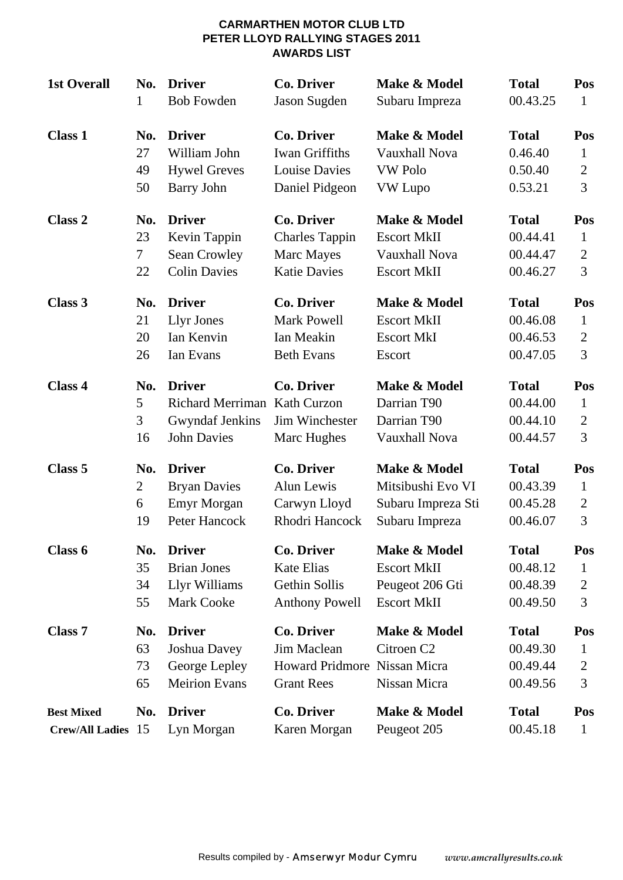#### **CARMARTHEN MOTOR CLUB LTD PETER LLOYD RALLYING STAGES 2011 AWARDS LIST**

| <b>1st Overall</b>        | No.<br>1 | <b>Driver</b><br><b>Bob Fowden</b> | <b>Co. Driver</b><br>Jason Sugden | Make & Model<br>Subaru Impreza | <b>Total</b><br>00.43.25 | Pos<br>1       |
|---------------------------|----------|------------------------------------|-----------------------------------|--------------------------------|--------------------------|----------------|
| <b>Class 1</b>            | No.      | <b>Driver</b>                      | <b>Co. Driver</b>                 | Make & Model                   | <b>Total</b>             | Pos            |
|                           | 27       | William John                       | <b>Iwan Griffiths</b>             | Vauxhall Nova                  | 0.46.40                  | $\mathbf{1}$   |
|                           | 49       | <b>Hywel Greves</b>                | <b>Louise Davies</b>              | <b>VW Polo</b>                 | 0.50.40                  | $\overline{2}$ |
|                           | 50       | Barry John                         | Daniel Pidgeon                    | VW Lupo                        | 0.53.21                  | 3              |
| Class 2                   | No.      | <b>Driver</b>                      | <b>Co. Driver</b>                 | Make & Model                   | <b>Total</b>             | Pos            |
|                           | 23       | Kevin Tappin                       | <b>Charles Tappin</b>             | <b>Escort MkII</b>             | 00.44.41                 | $\mathbf{1}$   |
|                           | 7        | Sean Crowley                       | Marc Mayes                        | Vauxhall Nova                  | 00.44.47                 | $\overline{2}$ |
|                           | 22       | <b>Colin Davies</b>                | <b>Katie Davies</b>               | <b>Escort MkII</b>             | 00.46.27                 | 3              |
| Class 3                   | No.      | <b>Driver</b>                      | <b>Co. Driver</b>                 | Make & Model                   | <b>Total</b>             | Pos            |
|                           | 21       | Llyr Jones                         | <b>Mark Powell</b>                | <b>Escort MkII</b>             | 00.46.08                 | $\mathbf{1}$   |
|                           | 20       | Ian Kenvin                         | Ian Meakin                        | <b>Escort MkI</b>              | 00.46.53                 | $\overline{2}$ |
|                           | 26       | Ian Evans                          | <b>Beth Evans</b>                 | Escort                         | 00.47.05                 | 3              |
| Class 4                   | No.      | <b>Driver</b>                      | <b>Co. Driver</b>                 | Make & Model                   | <b>Total</b>             | Pos            |
|                           | 5        | <b>Richard Merriman</b>            | <b>Kath Curzon</b>                | Darrian T90                    | 00.44.00                 | $\mathbf{1}$   |
|                           | 3        | <b>Gwyndaf Jenkins</b>             | Jim Winchester                    | Darrian T90                    | 00.44.10                 | $\overline{2}$ |
|                           | 16       | <b>John Davies</b>                 | Marc Hughes                       | Vauxhall Nova                  | 00.44.57                 | 3              |
| Class 5                   | No.      | <b>Driver</b>                      | <b>Co. Driver</b>                 | Make & Model                   | <b>Total</b>             | Pos            |
|                           | 2        | <b>Bryan Davies</b>                | Alun Lewis                        | Mitsibushi Evo VI              | 00.43.39                 | $\mathbf{1}$   |
|                           | 6        | <b>Emyr Morgan</b>                 | Carwyn Lloyd                      | Subaru Impreza Sti             | 00.45.28                 | $\overline{2}$ |
|                           | 19       | Peter Hancock                      | Rhodri Hancock                    | Subaru Impreza                 | 00.46.07                 | 3              |
| Class 6                   | No.      | <b>Driver</b>                      | Co. Driver                        | Make & Model                   | <b>Total</b>             | Pos            |
|                           | 35       | <b>Brian Jones</b>                 | <b>Kate Elias</b>                 | <b>Escort MkII</b>             | 00.48.12                 | $\mathbf 1$    |
|                           | 34       | Llyr Williams                      | Gethin Sollis                     | Peugeot 206 Gti                | 00.48.39                 | $\overline{2}$ |
|                           | 55       | <b>Mark Cooke</b>                  | <b>Anthony Powell</b>             | <b>Escort MkII</b>             | 00.49.50                 | 3              |
| <b>Class 7</b>            | No.      | <b>Driver</b>                      | <b>Co. Driver</b>                 | Make & Model                   | <b>Total</b>             | Pos            |
|                           | 63       | Joshua Davey                       | Jim Maclean                       | Citroen <sub>C2</sub>          | 00.49.30                 | 1              |
|                           | 73       | George Lepley                      | <b>Howard Pridmore</b>            | Nissan Micra                   | 00.49.44                 | $\overline{2}$ |
|                           | 65       | <b>Meirion Evans</b>               | <b>Grant Rees</b>                 | Nissan Micra                   | 00.49.56                 | 3              |
| <b>Best Mixed</b>         | No.      | <b>Driver</b>                      | <b>Co. Driver</b>                 | Make & Model                   | <b>Total</b>             | Pos            |
| <b>Crew/All Ladies</b> 15 |          | Lyn Morgan                         | Karen Morgan                      | Peugeot 205                    | 00.45.18                 | $\mathbf{1}$   |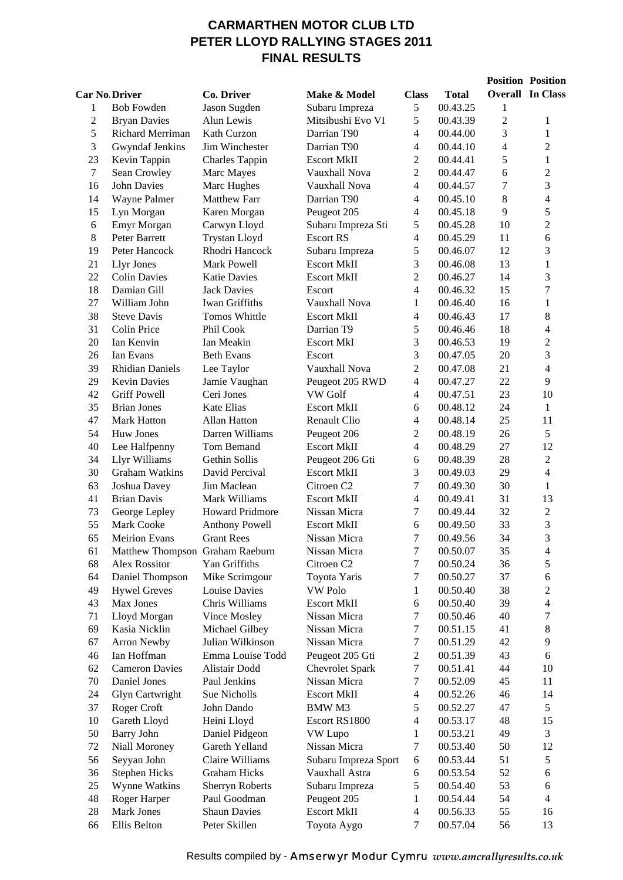## **CARMARTHEN MOTOR CLUB LTD PETER LLOYD RALLYING STAGES 2011 FINAL RESULTS**

|                      |                                 |                                |                                    |                          |                      |                | <b>Position Position</b> |
|----------------------|---------------------------------|--------------------------------|------------------------------------|--------------------------|----------------------|----------------|--------------------------|
| <b>Car No Driver</b> |                                 | Co. Driver                     | Make & Model                       | <b>Class</b>             | <b>Total</b>         |                | <b>Overall</b> In Class  |
| 1                    | <b>Bob Fowden</b>               | Jason Sugden                   | Subaru Impreza                     | 5                        | 00.43.25             | 1              |                          |
| $\overline{c}$       | <b>Bryan Davies</b>             | Alun Lewis                     | Mitsibushi Evo VI                  | 5                        | 00.43.39             | $\overline{2}$ | 1                        |
| 5                    | Richard Merriman                | Kath Curzon                    | Darrian T90                        | $\overline{4}$           | 00.44.00             | 3              | $\mathbf{1}$             |
| 3                    | Gwyndaf Jenkins                 | Jim Winchester                 | Darrian T90                        | $\overline{4}$           | 00.44.10             | $\overline{4}$ | $\overline{c}$           |
| 23                   | Kevin Tappin                    | <b>Charles Tappin</b>          | <b>Escort MkII</b>                 | $\overline{2}$           | 00.44.41             | 5              | $\mathbf{1}$             |
| $\tau$               | Sean Crowley                    | Marc Mayes                     | Vauxhall Nova                      | $\overline{2}$           | 00.44.47             | 6              | $\overline{2}$           |
| 16                   | <b>John Davies</b>              | Marc Hughes                    | Vauxhall Nova                      | $\overline{4}$           | 00.44.57             | 7              | 3                        |
| 14                   | Wayne Palmer                    | <b>Matthew Farr</b>            | Darrian T90                        | $\overline{4}$           | 00.45.10             | 8              | 4                        |
| 15                   | Lyn Morgan                      | Karen Morgan                   | Peugeot 205                        | $\overline{4}$           | 00.45.18             | 9              | 5                        |
| 6                    | Emyr Morgan                     | Carwyn Lloyd                   | Subaru Impreza Sti                 | 5                        | 00.45.28             | 10             | $\overline{c}$           |
| $8\,$                | Peter Barrett                   | <b>Trystan Lloyd</b>           | <b>Escort RS</b>                   | $\overline{4}$           | 00.45.29             | 11             | 6                        |
| 19                   | Peter Hancock                   | Rhodri Hancock                 | Subaru Impreza                     | 5                        | 00.46.07             | 12             | 3                        |
| 21                   | Llyr Jones                      | Mark Powell                    | <b>Escort MkII</b>                 | 3                        | 00.46.08             | 13             | $\mathbf{1}$             |
| 22                   | <b>Colin Davies</b>             | <b>Katie Davies</b>            | <b>Escort MkII</b>                 | $\overline{2}$           | 00.46.27             | 14             | 3                        |
| 18                   | Damian Gill                     | <b>Jack Davies</b>             | Escort                             | $\overline{4}$           | 00.46.32             | 15             | $\overline{7}$           |
| 27                   | William John                    | <b>Iwan Griffiths</b>          | Vauxhall Nova                      | 1                        | 00.46.40             | 16             | $\mathbf{1}$             |
| 38                   | <b>Steve Davis</b>              | Tomos Whittle                  | <b>Escort MkII</b>                 | $\overline{4}$           | 00.46.43             | 17             | 8                        |
| 31                   | Colin Price                     | Phil Cook                      | Darrian T9                         | 5                        | 00.46.46             | 18             | $\overline{4}$           |
| 20                   | Ian Kenvin                      | Ian Meakin                     | <b>Escort MkI</b>                  | 3                        | 00.46.53             | 19             | 2                        |
| 26                   | Ian Evans                       | <b>Beth Evans</b>              | Escort                             | 3                        | 00.47.05             | 20             | 3                        |
| 39                   | <b>Rhidian Daniels</b>          | Lee Taylor                     | Vauxhall Nova                      | $\overline{2}$           | 00.47.08             | 21             | 4                        |
| 29                   | <b>Kevin Davies</b>             | Jamie Vaughan                  | Peugeot 205 RWD                    | 4                        | 00.47.27             | 22             | 9                        |
| 42                   | <b>Griff Powell</b>             | Ceri Jones                     | <b>VW</b> Golf                     | $\overline{4}$           | 00.47.51             | 23             | 10                       |
| 35                   | <b>Brian Jones</b>              | <b>Kate Elias</b>              | <b>Escort MkII</b>                 | 6                        | 00.48.12             | 24             | 1                        |
| 47                   | <b>Mark Hatton</b>              | Allan Hatton                   | <b>Renault Clio</b>                | $\overline{4}$           | 00.48.14             | 25             | 11                       |
| 54                   | Huw Jones                       | Darren Williams                | Peugeot 206                        | $\sqrt{2}$               | 00.48.19             | 26             | 5                        |
| 40                   | Lee Halfpenny                   | Tom Bemand                     | <b>Escort MkII</b>                 | $\overline{4}$           | 00.48.29             | 27             | 12                       |
| 34                   | Llyr Williams                   | Gethin Sollis                  | Peugeot 206 Gti                    | 6                        | 00.48.39             | 28             | $\overline{2}$           |
| 30                   | <b>Graham Watkins</b>           | David Percival                 | <b>Escort MkII</b>                 | 3                        | 00.49.03             | 29             | $\overline{4}$           |
| 63                   | Joshua Davey                    | Jim Maclean                    | Citroen <sub>C2</sub>              | 7                        | 00.49.30             | 30             | 1                        |
| 41                   | <b>Brian Davis</b>              | Mark Williams                  | <b>Escort MkII</b>                 | $\overline{4}$           | 00.49.41             | 31             | 13                       |
| 73                   | George Lepley                   | <b>Howard Pridmore</b>         | Nissan Micra                       | 7                        | 00.49.44             | 32             | $\sqrt{2}$               |
| 55                   | <b>Mark Cooke</b>               | <b>Anthony Powell</b>          | <b>Escort MkII</b>                 | 6                        | 00.49.50             | 33             | 3                        |
| 65                   | <b>Meirion Evans</b>            | <b>Grant Rees</b>              | Nissan Micra                       | $\overline{7}$           | 00.49.56             | 34             | 3                        |
| 61                   | Matthew Thompson Graham Raeburn |                                | Nissan Micra                       | 7                        | 00.50.07             | 35             | 4                        |
| 68                   | <b>Alex Rossitor</b>            | Yan Griffiths                  | Citroen <sub>C2</sub>              | $\boldsymbol{7}$         | 00.50.24             | 36             | 5                        |
| 64                   | Daniel Thompson                 | Mike Scrimgour                 | Toyota Yaris                       | 7                        | 00.50.27             | 37             | 6                        |
| 49                   | <b>Hywel Greves</b>             | Louise Davies                  | <b>VW Polo</b>                     | $\mathbf{1}$             | 00.50.40             | 38             | 2                        |
| 43                   | Max Jones                       | Chris Williams                 | <b>Escort MkII</b><br>Nissan Micra | 6                        | 00.50.40             | 39             | $\overline{4}$           |
| 71<br>69             | Lloyd Morgan<br>Kasia Nicklin   | Vince Mosley<br>Michael Gilbey | Nissan Micra                       | 7<br>7                   | 00.50.46<br>00.51.15 | 40<br>41       | 7<br>$8\,$               |
| 67                   | <b>Arron Newby</b>              | Julian Wilkinson               | Nissan Micra                       | 7                        | 00.51.29             | 42             | 9                        |
| 46                   | Ian Hoffman                     | Emma Louise Todd               | Peugeot 205 Gti                    | $\overline{c}$           | 00.51.39             | 43             | 6                        |
| 62                   | <b>Cameron Davies</b>           | Alistair Dodd                  | <b>Chevrolet Spark</b>             | $\boldsymbol{7}$         | 00.51.41             | 44             | 10                       |
| 70                   | Daniel Jones                    | Paul Jenkins                   | Nissan Micra                       | 7                        | 00.52.09             | 45             | 11                       |
| 24                   | <b>Glyn Cartwright</b>          | Sue Nicholls                   | <b>Escort MkII</b>                 | $\overline{\mathbf{4}}$  | 00.52.26             | 46             | 14                       |
| 37                   | Roger Croft                     | John Dando                     | BMW M3                             | 5                        | 00.52.27             | 47             | 5                        |
| 10                   | Gareth Lloyd                    | Heini Lloyd                    | Escort RS1800                      | $\overline{4}$           | 00.53.17             | 48             | 15                       |
| 50                   | <b>Barry John</b>               | Daniel Pidgeon                 | VW Lupo                            | $\mathbf{1}$             | 00.53.21             | 49             | 3                        |
| 72                   | Niall Moroney                   | Gareth Yelland                 | Nissan Micra                       | 7                        | 00.53.40             | 50             | 12                       |
| 56                   | Seyyan John                     | Claire Williams                | Subaru Impreza Sport               | 6                        | 00.53.44             | 51             | 5                        |
| 36                   | <b>Stephen Hicks</b>            | <b>Graham Hicks</b>            | Vauxhall Astra                     | 6                        | 00.53.54             | 52             | 6                        |
| $25\,$               | Wynne Watkins                   | Sherryn Roberts                | Subaru Impreza                     | 5                        | 00.54.40             | 53             | 6                        |
| 48                   | Roger Harper                    | Paul Goodman                   | Peugeot 205                        | 1                        | 00.54.44             | 54             | $\overline{\mathcal{L}}$ |
| 28                   | Mark Jones                      | <b>Shaun Davies</b>            | <b>Escort MkII</b>                 | $\overline{\mathcal{A}}$ | 00.56.33             | 55             | 16                       |
| 66                   | Ellis Belton                    | Peter Skillen                  | Toyota Aygo                        | $\tau$                   | 00.57.04             | 56             | 13                       |
|                      |                                 |                                |                                    |                          |                      |                |                          |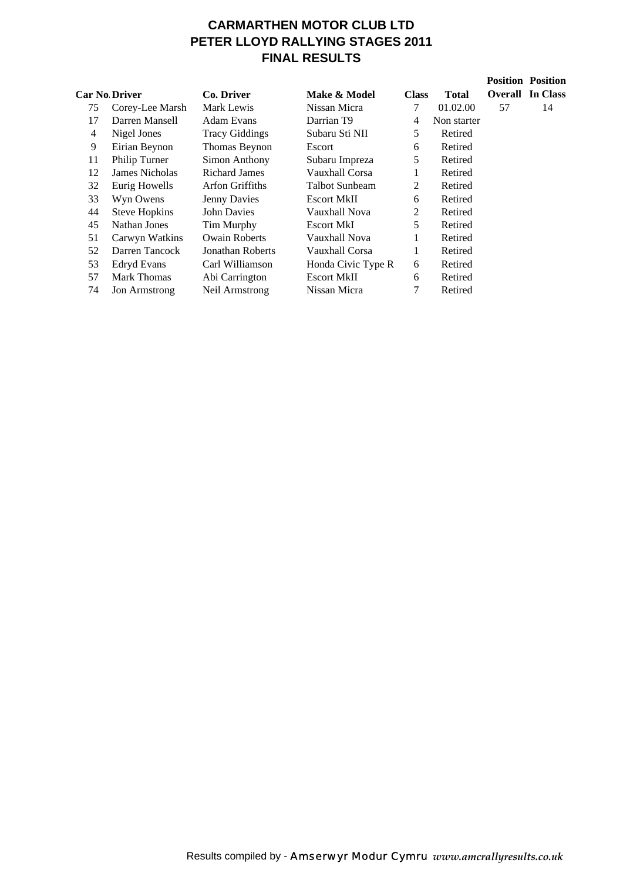# **CARMARTHEN MOTOR CLUB LTD PETER LLOYD RALLYING STAGES 2011 FINAL RESULTS**

|                |                      |                       |                        |              |              |    | <b>Position Position</b> |
|----------------|----------------------|-----------------------|------------------------|--------------|--------------|----|--------------------------|
|                | <b>Car No Driver</b> | Co. Driver            | Make & Model           | <b>Class</b> | <b>Total</b> |    | <b>Overall</b> In Class  |
| 75             | Corey-Lee Marsh      | Mark Lewis            | Nissan Micra           | 7            | 01.02.00     | 57 | 14                       |
| 17             | Darren Mansell       | <b>Adam Evans</b>     | Darrian T <sub>9</sub> | 4            | Non starter  |    |                          |
| $\overline{4}$ | Nigel Jones          | <b>Tracy Giddings</b> | Subaru Sti NII         | 5            | Retired      |    |                          |
| 9              | Eirian Beynon        | Thomas Beynon         | Escort                 | 6            | Retired      |    |                          |
| 11             | Philip Turner        | Simon Anthony         | Subaru Impreza         | 5            | Retired      |    |                          |
| 12             | James Nicholas       | <b>Richard James</b>  | Vauxhall Corsa         | 1            | Retired      |    |                          |
| 32             | Eurig Howells        | Arfon Griffiths       | Talbot Sunbeam         | 2            | Retired      |    |                          |
| 33             | Wyn Owens            | Jenny Davies          | <b>Escort MkII</b>     | 6            | Retired      |    |                          |
| 44             | <b>Steve Hopkins</b> | <b>John Davies</b>    | Vauxhall Nova          | 2            | Retired      |    |                          |
| 45             | Nathan Jones         | Tim Murphy            | Escort MkI             | 5            | Retired      |    |                          |
| 51             | Carwyn Watkins       | <b>Owain Roberts</b>  | Vauxhall Nova          | 1            | Retired      |    |                          |
| 52             | Darren Tancock       | Jonathan Roberts      | Vauxhall Corsa         | 1            | Retired      |    |                          |
| 53             | <b>Edryd Evans</b>   | Carl Williamson       | Honda Civic Type R     | 6            | Retired      |    |                          |
| 57             | <b>Mark Thomas</b>   | Abi Carrington        | <b>Escort MkII</b>     | 6            | Retired      |    |                          |
| 74             | <b>Jon Armstrong</b> | Neil Armstrong        | Nissan Micra           | 7            | Retired      |    |                          |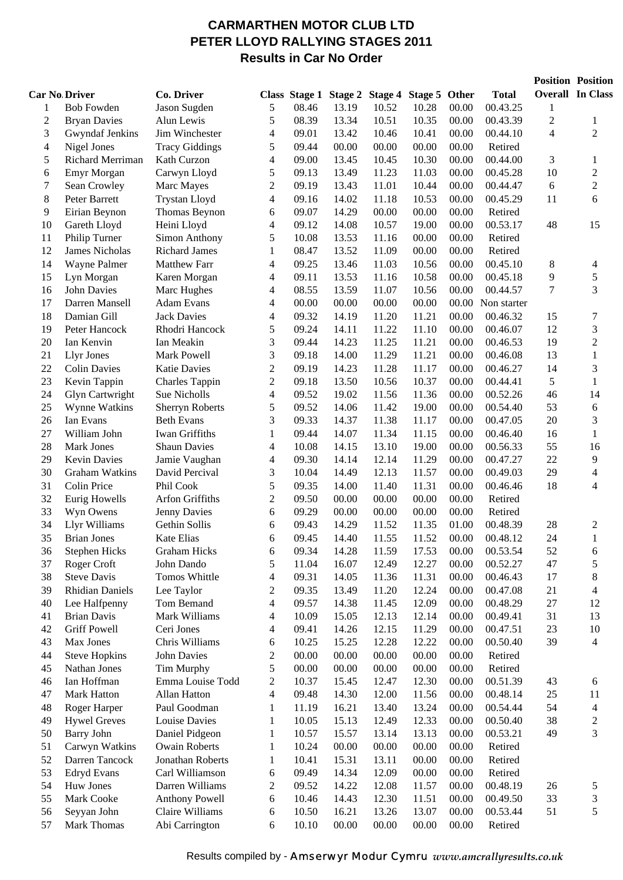## **CARMARTHEN MOTOR CLUB LTD PETER LLOYD RALLYING STAGES 2011 Results in Car No Order**

|                          |                        |                        |                         |                      |       |                 |               |       |              |                | <b>Position Position</b>    |
|--------------------------|------------------------|------------------------|-------------------------|----------------------|-------|-----------------|---------------|-------|--------------|----------------|-----------------------------|
|                          | <b>Car No Driver</b>   | Co. Driver             |                         | <b>Class Stage 1</b> |       | Stage 2 Stage 4 | Stage 5 Other |       | <b>Total</b> |                | <b>Overall In Class</b>     |
| 1                        | <b>Bob Fowden</b>      | Jason Sugden           | 5                       | 08.46                | 13.19 | 10.52           | 10.28         | 00.00 | 00.43.25     | 1              |                             |
| $\overline{c}$           | <b>Bryan Davies</b>    | Alun Lewis             | 5                       | 08.39                | 13.34 | 10.51           | 10.35         | 00.00 | 00.43.39     | $\overline{2}$ | $\mathbf{1}$                |
| 3                        | Gwyndaf Jenkins        | Jim Winchester         | 4                       | 09.01                | 13.42 | 10.46           | 10.41         | 00.00 | 00.44.10     | $\overline{4}$ | $\overline{2}$              |
| $\overline{\mathcal{L}}$ | Nigel Jones            | <b>Tracy Giddings</b>  | 5                       | 09.44                | 00.00 | 00.00           | 00.00         | 00.00 | Retired      |                |                             |
| 5                        | Richard Merriman       | Kath Curzon            | 4                       | 09.00                | 13.45 | 10.45           | 10.30         | 00.00 | 00.44.00     | 3              | 1                           |
| 6                        | Emyr Morgan            | Carwyn Lloyd           | 5                       | 09.13                | 13.49 | 11.23           | 11.03         | 00.00 | 00.45.28     | 10             | $\overline{2}$              |
| 7                        | Sean Crowley           | Marc Mayes             | 2                       | 09.19                | 13.43 | 11.01           | 10.44         | 00.00 | 00.44.47     | 6              | $\overline{2}$              |
| 8                        | Peter Barrett          | <b>Trystan Lloyd</b>   | 4                       | 09.16                | 14.02 | 11.18           | 10.53         | 00.00 | 00.45.29     | 11             | 6                           |
| 9                        | Eirian Beynon          | Thomas Beynon          | 6                       | 09.07                | 14.29 | 00.00           | 00.00         | 00.00 | Retired      |                |                             |
| 10                       | Gareth Lloyd           | Heini Lloyd            | 4                       | 09.12                | 14.08 | 10.57           | 19.00         | 00.00 | 00.53.17     | 48             | 15                          |
| 11                       | Philip Turner          | Simon Anthony          | 5                       | 10.08                | 13.53 | 11.16           | 00.00         | 00.00 | Retired      |                |                             |
| 12                       | James Nicholas         | <b>Richard James</b>   | 1                       | 08.47                | 13.52 | 11.09           | 00.00         | 00.00 | Retired      |                |                             |
| 14                       | Wayne Palmer           | <b>Matthew Farr</b>    | 4                       | 09.25                | 13.46 | 11.03           | 10.56         | 00.00 | 00.45.10     | 8              | 4                           |
| 15                       | Lyn Morgan             | Karen Morgan           | 4                       | 09.11                | 13.53 | 11.16           | 10.58         | 00.00 | 00.45.18     | 9              | 5                           |
| 16                       | <b>John Davies</b>     | Marc Hughes            | 4                       | 08.55                | 13.59 | 11.07           | 10.56         | 00.00 | 00.44.57     | 7              | 3                           |
| 17                       | Darren Mansell         | <b>Adam Evans</b>      | 4                       | 00.00                | 00.00 | 00.00           | 00.00         | 00.00 | Non starter  |                |                             |
| 18                       | Damian Gill            | <b>Jack Davies</b>     | 4                       | 09.32                | 14.19 | 11.20           | 11.21         | 00.00 | 00.46.32     | 15             | 7                           |
| 19                       | Peter Hancock          | Rhodri Hancock         | 5                       | 09.24                | 14.11 | 11.22           | 11.10         | 00.00 | 00.46.07     | 12             | $\mathfrak{Z}$              |
| 20                       | Ian Kenvin             | Ian Meakin             | 3                       | 09.44                | 14.23 | 11.25           | 11.21         | 00.00 | 00.46.53     | 19             | $\overline{2}$              |
| 21                       | <b>Llyr Jones</b>      | Mark Powell            | 3                       | 09.18                | 14.00 | 11.29           | 11.21         | 00.00 | 00.46.08     | 13             | $\mathbf{1}$                |
| 22                       | <b>Colin Davies</b>    | <b>Katie Davies</b>    | $\overline{c}$          | 09.19                | 14.23 | 11.28           | 11.17         | 00.00 | 00.46.27     | 14             | $\mathfrak{Z}$              |
| 23                       | Kevin Tappin           | <b>Charles Tappin</b>  | $\overline{c}$          | 09.18                | 13.50 | 10.56           | 10.37         | 00.00 | 00.44.41     | 5              | $\mathbf{1}$                |
| 24                       | Glyn Cartwright        | Sue Nicholls           | 4                       | 09.52                | 19.02 | 11.56           | 11.36         | 00.00 | 00.52.26     | 46             | 14                          |
| 25                       | Wynne Watkins          | <b>Sherryn Roberts</b> | 5                       | 09.52                | 14.06 | 11.42           | 19.00         | 00.00 | 00.54.40     | 53             | $\epsilon$                  |
| 26                       | Ian Evans              | <b>Beth Evans</b>      | 3                       | 09.33                | 14.37 | 11.38           | 11.17         | 00.00 | 00.47.05     | 20             | $\mathfrak{Z}$              |
| 27                       | William John           | Iwan Griffiths         | 1                       | 09.44                | 14.07 | 11.34           | 11.15         | 00.00 | 00.46.40     | 16             | $\mathbf{1}$                |
| 28                       | Mark Jones             | <b>Shaun Davies</b>    | 4                       | 10.08                | 14.15 | 13.10           | 19.00         | 00.00 | 00.56.33     | 55             | 16                          |
| 29                       | <b>Kevin Davies</b>    | Jamie Vaughan          | 4                       | 09.30                | 14.14 | 12.14           | 11.29         | 00.00 | 00.47.27     | 22             | 9                           |
| 30                       | Graham Watkins         | David Percival         | 3                       | 10.04                | 14.49 | 12.13           | 11.57         | 00.00 | 00.49.03     | 29             | 4                           |
| 31                       | Colin Price            | Phil Cook              | 5                       | 09.35                | 14.00 | 11.40           | 11.31         | 00.00 | 00.46.46     | 18             | 4                           |
| 32                       | Eurig Howells          | Arfon Griffiths        | $\overline{c}$          | 09.50                | 00.00 | 00.00           | 00.00         | 00.00 | Retired      |                |                             |
| 33                       | Wyn Owens              | Jenny Davies           | 6                       | 09.29                | 00.00 | 00.00           | 00.00         | 00.00 | Retired      |                |                             |
| 34                       | Llyr Williams          | Gethin Sollis          | 6                       | 09.43                | 14.29 | 11.52           | 11.35         | 01.00 | 00.48.39     | 28             | $\overline{c}$              |
| 35                       | <b>Brian Jones</b>     | <b>Kate Elias</b>      | 6                       | 09.45                | 14.40 | 11.55           | 11.52         | 00.00 | 00.48.12     | 24             | $\mathbf{1}$                |
| 36                       | <b>Stephen Hicks</b>   | <b>Graham Hicks</b>    | 6                       | 09.34                | 14.28 | 11.59           | 17.53         | 00.00 | 00.53.54     | 52             | 6                           |
| 37                       | Roger Croft            | John Dando             | 5                       | 11.04                | 16.07 | 12.49           | 12.27         | 00.00 | 00.52.27     | 47             | $\sqrt{5}$                  |
| 38                       | <b>Steve Davis</b>     | Tomos Whittle          | 4                       | 09.31                | 14.05 | 11.36           | 11.31         | 00.00 | 00.46.43     | 17             | $\,$ 8 $\,$                 |
| 39                       | <b>Rhidian Daniels</b> | Lee Taylor             | 2                       | 09.35                | 13.49 | 11.20           | 12.24         | 00.00 | 00.47.08     | 21             | $\overline{4}$              |
| 40                       | Lee Halfpenny          | Tom Bemand             | 4                       | 09.57                | 14.38 | 11.45           | 12.09         | 00.00 | 00.48.29     | $27\,$         | 12                          |
| 41                       | <b>Brian Davis</b>     | Mark Williams          | 4                       | 10.09                | 15.05 | 12.13           | 12.14         | 00.00 | 00.49.41     | 31             | 13                          |
| 42                       | <b>Griff Powell</b>    | Ceri Jones             | 4                       | 09.41                | 14.26 | 12.15           | 11.29         | 00.00 | 00.47.51     | 23             | 10                          |
| 43                       | Max Jones              | Chris Williams         | 6                       | 10.25                | 15.25 | 12.28           | 12.22         | 00.00 | 00.50.40     | 39             | $\overline{4}$              |
| 44                       | <b>Steve Hopkins</b>   | <b>John Davies</b>     | $\overline{c}$          | 00.00                | 00.00 | 00.00           | 00.00         | 00.00 | Retired      |                |                             |
| 45                       | Nathan Jones           | Tim Murphy             | 5                       | 00.00                | 00.00 | 00.00           | 00.00         | 00.00 | Retired      |                |                             |
| 46                       | Ian Hoffman            | Emma Louise Todd       | $\overline{\mathbf{c}}$ | 10.37                | 15.45 | 12.47           | 12.30         | 00.00 | 00.51.39     | 43             | 6                           |
| 47                       | Mark Hatton            | Allan Hatton           | 4                       | 09.48                | 14.30 | 12.00           | 11.56         | 00.00 | 00.48.14     | 25             | 11                          |
| 48                       | Roger Harper           | Paul Goodman           | $\mathbf{1}$            | 11.19                | 16.21 | 13.40           | 13.24         | 00.00 | 00.54.44     | 54             | $\overline{\mathcal{A}}$    |
| 49                       | <b>Hywel Greves</b>    | Louise Davies          | $\mathbf{1}$            | 10.05                | 15.13 | 12.49           | 12.33         | 00.00 | 00.50.40     | 38             | $\sqrt{2}$                  |
| 50                       | Barry John             | Daniel Pidgeon         | 1                       | 10.57                | 15.57 | 13.14           | 13.13         | 00.00 | 00.53.21     | 49             | $\mathfrak{Z}$              |
| 51                       | Carwyn Watkins         | <b>Owain Roberts</b>   | 1                       | 10.24                | 00.00 | 00.00           | 00.00         | 00.00 | Retired      |                |                             |
| 52                       | Darren Tancock         | Jonathan Roberts       | $\mathbf{1}$            | 10.41                | 15.31 | 13.11           | 00.00         | 00.00 | Retired      |                |                             |
| 53                       | <b>Edryd Evans</b>     | Carl Williamson        | 6                       | 09.49                | 14.34 | 12.09           | 00.00         | 00.00 | Retired      |                |                             |
| 54                       | Huw Jones              | Darren Williams        | $\overline{\mathbf{c}}$ | 09.52                | 14.22 | 12.08           | 11.57         | 00.00 | 00.48.19     | 26             | 5                           |
| 55                       | Mark Cooke             | <b>Anthony Powell</b>  | 6                       | 10.46                | 14.43 | 12.30           | 11.51         | 00.00 | 00.49.50     | 33             | $\ensuremath{\mathfrak{Z}}$ |
| 56                       | Seyyan John            | Claire Williams        | 6                       | 10.50                | 16.21 | 13.26           | 13.07         | 00.00 | 00.53.44     | 51             | 5                           |
| 57                       | Mark Thomas            | Abi Carrington         | 6                       | 10.10                | 00.00 | 00.00           | 00.00         | 00.00 | Retired      |                |                             |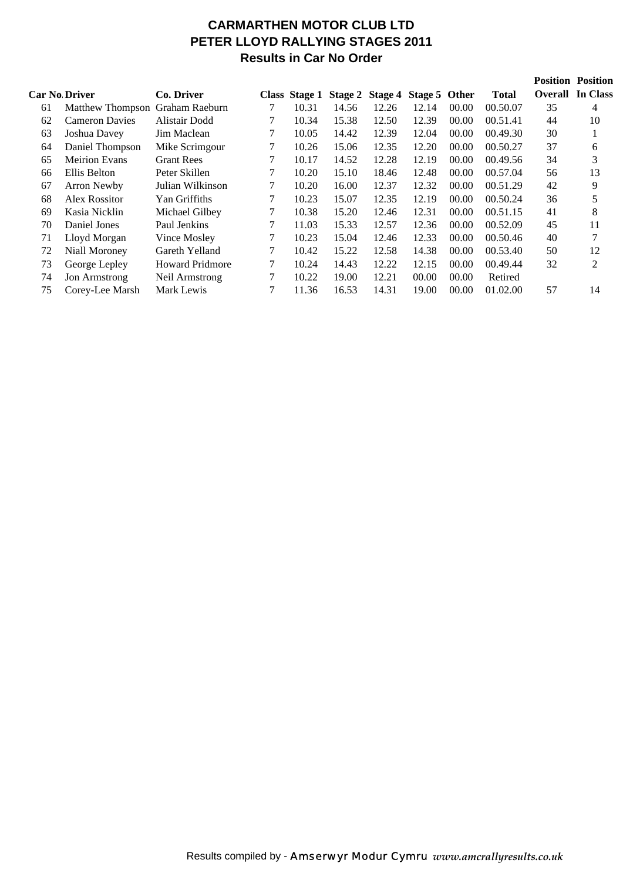# **CARMARTHEN MOTOR CLUB LTD PETER LLOYD RALLYING STAGES 2011 Results in Car No Order**

|    |                                 |                        |   |               |       |                               |       |       |              |    | <b>Position Position</b> |
|----|---------------------------------|------------------------|---|---------------|-------|-------------------------------|-------|-------|--------------|----|--------------------------|
|    | <b>Car No Driver</b>            | Co. Driver             |   | Class Stage 1 |       | Stage 2 Stage 4 Stage 5 Other |       |       | <b>Total</b> |    | <b>Overall</b> In Class  |
| 61 | Matthew Thompson Graham Raeburn |                        |   | 10.31         | 14.56 | 12.26                         | 12.14 | 00.00 | 00.50.07     | 35 | 4                        |
| 62 | <b>Cameron Davies</b>           | Alistair Dodd          |   | 10.34         | 15.38 | 12.50                         | 12.39 | 00.00 | 00.51.41     | 44 | 10                       |
| 63 | Joshua Davey                    | Jim Maclean            |   | 10.05         | 14.42 | 12.39                         | 12.04 | 00.00 | 00.49.30     | 30 |                          |
| 64 | Daniel Thompson                 | Mike Scrimgour         |   | 10.26         | 15.06 | 12.35                         | 12.20 | 00.00 | 00.50.27     | 37 | 6                        |
| 65 | <b>Meirion Evans</b>            | <b>Grant Rees</b>      | 7 | 10.17         | 14.52 | 12.28                         | 12.19 | 00.00 | 00.49.56     | 34 | 3                        |
| 66 | Ellis Belton                    | Peter Skillen          |   | 10.20         | 15.10 | 18.46                         | 12.48 | 00.00 | 00.57.04     | 56 | 13                       |
| 67 | Arron Newby                     | Julian Wilkinson       |   | 10.20         | 16.00 | 12.37                         | 12.32 | 00.00 | 00.51.29     | 42 | 9                        |
| 68 | Alex Rossitor                   | Yan Griffiths          |   | 10.23         | 15.07 | 12.35                         | 12.19 | 00.00 | 00.50.24     | 36 | 5                        |
| 69 | Kasia Nicklin                   | Michael Gilbey         |   | 10.38         | 15.20 | 12.46                         | 12.31 | 00.00 | 00.51.15     | 41 | 8                        |
| 70 | Daniel Jones                    | Paul Jenkins           | 7 | 11.03         | 15.33 | 12.57                         | 12.36 | 00.00 | 00.52.09     | 45 | 11                       |
| 71 | Lloyd Morgan                    | Vince Mosley           |   | 10.23         | 15.04 | 12.46                         | 12.33 | 00.00 | 00.50.46     | 40 | 7                        |
| 72 | Niall Moroney                   | Gareth Yelland         |   | 10.42         | 15.22 | 12.58                         | 14.38 | 00.00 | 00.53.40     | 50 | 12                       |
| 73 | George Lepley                   | <b>Howard Pridmore</b> |   | 10.24         | 14.43 | 12.22                         | 12.15 | 00.00 | 00.49.44     | 32 | 2                        |
| 74 | <b>Jon Armstrong</b>            | Neil Armstrong         |   | 10.22         | 19.00 | 12.21                         | 00.00 | 00.00 | Retired      |    |                          |
| 75 | Corey-Lee Marsh                 | Mark Lewis             |   | 11.36         | 16.53 | 14.31                         | 19.00 | 00.00 | 01.02.00     | 57 | 14                       |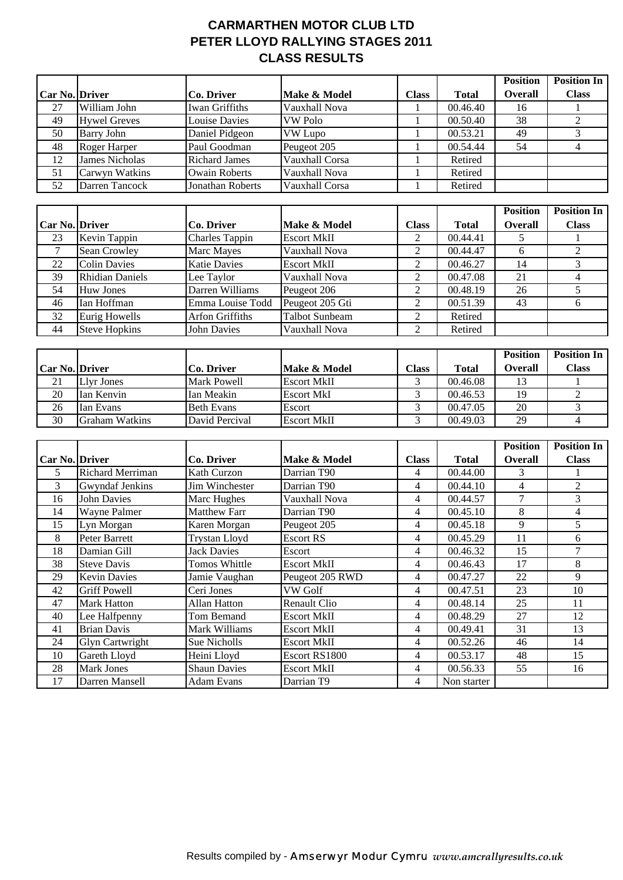## **CARMARTHEN MOTOR CLUB LTD PETER LLOYD RALLYING STAGES 2011 CLASS RESULTS**

|                |                         |                         |                       |                          |              | <b>Position</b>  | <b>Position In</b>       |
|----------------|-------------------------|-------------------------|-----------------------|--------------------------|--------------|------------------|--------------------------|
| Car No. Driver |                         | Co. Driver              | Make & Model          | <b>Class</b>             | <b>Total</b> | <b>Overall</b>   | <b>Class</b>             |
| 27             | William John            | <b>Iwan Griffiths</b>   | Vauxhall Nova         |                          | 00.46.40     | 16               |                          |
| 49             | <b>Hywel Greves</b>     | <b>Louise Davies</b>    | <b>VW Polo</b>        | $\mathbf{1}$             | 00.50.40     | 38               | $\overline{2}$           |
| 50             | <b>Barry John</b>       | Daniel Pidgeon          | <b>VW</b> Lupo        | $\mathbf{1}$             | 00.53.21     | 49               | 3                        |
| 48             | Roger Harper            | Paul Goodman            | Peugeot 205           | $\mathbf{1}$             | 00.54.44     | 54               | $\overline{4}$           |
| 12             | <b>James Nicholas</b>   | <b>Richard James</b>    | Vauxhall Corsa        | 1                        | Retired      |                  |                          |
| 51             | Carwyn Watkins          | <b>Owain Roberts</b>    | Vauxhall Nova         | 1                        | Retired      |                  |                          |
| 52             | Darren Tancock          | <b>Jonathan Roberts</b> | Vauxhall Corsa        | 1                        | Retired      |                  |                          |
|                |                         |                         |                       |                          |              |                  |                          |
|                |                         |                         |                       |                          |              | <b>Position</b>  | <b>Position In</b>       |
| Car No. Driver |                         | Co. Driver              | Make & Model          | <b>Class</b>             | <b>Total</b> | <b>Overall</b>   | <b>Class</b>             |
| 23             | Kevin Tappin            | <b>Charles Tappin</b>   | <b>Escort MkII</b>    | $\overline{2}$           | 00.44.41     | 5                |                          |
| $\overline{7}$ | Sean Crowley            | Marc Mayes              | Vauxhall Nova         | $\overline{c}$           | 00.44.47     | 6                | $\sqrt{2}$               |
| 22             | <b>Colin Davies</b>     | <b>Katie Davies</b>     | <b>Escort MkII</b>    | $\overline{2}$           | 00.46.27     | 14               | $\overline{3}$           |
| 39             | <b>Rhidian Daniels</b>  | Lee Taylor              | Vauxhall Nova         | $\overline{c}$           | 00.47.08     | 21               | $\overline{4}$           |
| 54             | <b>Huw Jones</b>        | Darren Williams         | Peugeot 206           | $\overline{2}$           | 00.48.19     | 26               | 5                        |
| 46             | Ian Hoffman             | Emma Louise Todd        | Peugeot 205 Gti       | $\overline{2}$           | 00.51.39     | 43               | 6                        |
| 32             | <b>Eurig Howells</b>    | <b>Arfon Griffiths</b>  | <b>Talbot Sunbeam</b> | $\overline{2}$           | Retired      |                  |                          |
| 44             | <b>Steve Hopkins</b>    | <b>John Davies</b>      | Vauxhall Nova         | $\overline{2}$           | Retired      |                  |                          |
|                |                         |                         |                       |                          |              | <b>Position</b>  | <b>Position In</b>       |
| Car No. Driver |                         | Co. Driver              | Make & Model          | <b>Class</b>             | <b>Total</b> | <b>Overall</b>   | <b>Class</b>             |
| 21             | <b>Llyr Jones</b>       | <b>Mark Powell</b>      | <b>Escort MkII</b>    | 3                        | 00.46.08     | 13               | $\mathbf{1}$             |
| 20             | Ian Kenvin              | Ian Meakin              | <b>Escort MkI</b>     | 3                        | 00.46.53     | 19               | $\sqrt{2}$               |
| 26             | Ian Evans               | <b>Beth Evans</b>       | Escort                | 3                        | 00.47.05     | 20               | $\overline{3}$           |
| 30             | <b>Graham Watkins</b>   | David Percival          | <b>Escort MkII</b>    | 3                        | 00.49.03     | 29               | $\overline{\mathcal{L}}$ |
|                |                         |                         |                       |                          |              |                  |                          |
|                |                         |                         |                       |                          |              | <b>Position</b>  | <b>Position In</b>       |
| Car No. Driver |                         | Co. Driver              | Make & Model          | <b>Class</b>             | <b>Total</b> | <b>Overall</b>   | <b>Class</b>             |
| 5              | <b>Richard Merriman</b> | Kath Curzon             | Darrian T90           | $\overline{4}$           | 00.44.00     | $\mathfrak{Z}$   |                          |
| $\overline{3}$ | <b>Gwyndaf Jenkins</b>  | Jim Winchester          | Darrian T90           | $\overline{4}$           | 00.44.10     | $\overline{4}$   | $\overline{2}$           |
| 16             | <b>John Davies</b>      | Marc Hughes             | Vauxhall Nova         | $\overline{4}$           | 00.44.57     | $\boldsymbol{7}$ | 3                        |
| 14             | Wayne Palmer            | Matthew Farr            | Darrian T90           | $\overline{4}$           | 00.45.10     | $\,8\,$          | $\overline{4}$           |
| 15             | Lyn Morgan              | Karen Morgan            | Peugeot 205           | $\overline{4}$           | 00.45.18     | 9                | 5                        |
| $8\,$          | Peter Barrett           | Trystan Lloyd           | Escort RS             | $\overline{\mathcal{L}}$ | 00.45.29     | $11\,$           | $\sqrt{6}$               |
| 18             | Damian Gill             | <b>Jack Davies</b>      | Escort                | $\overline{4}$           | 00.46.32     | 15               | $\overline{7}$           |
| 38             | <b>Steve Davis</b>      | Tomos Whittle           | <b>Escort MkII</b>    | $\overline{4}$           | 00.46.43     | 17               | 8                        |
| 29             | <b>Kevin Davies</b>     | Jamie Vaughan           | Peugeot 205 RWD       | 4                        | 00.47.27     | 22               | 9                        |
| 42             | <b>Griff Powell</b>     | Ceri Jones              | VW Golf               | 4                        | 00.47.51     | 23               | 10                       |
| 47             | <b>Mark Hatton</b>      | Allan Hatton            | Renault Clio          | $\overline{4}$           | 00.48.14     | 25               | 11                       |
| 40             | Lee Halfpenny           | Tom Bemand              | <b>Escort MkII</b>    | 4                        | 00.48.29     | 27               | 12                       |
| 41             | <b>Brian Davis</b>      | Mark Williams           | <b>Escort MkII</b>    | 4                        | 00.49.41     | 31               | 13                       |
| 24             | <b>Glyn Cartwright</b>  | Sue Nicholls            | <b>Escort MkII</b>    | 4                        | 00.52.26     | 46               | 14                       |
| 10             | Gareth Lloyd            | Heini Lloyd             | Escort RS1800         | $\overline{4}$           | 00.53.17     | 48               | 15                       |
| 28             | Mark Jones              | <b>Shaun Davies</b>     | <b>Escort MkII</b>    | $\overline{4}$           | 00.56.33     | 55               | 16                       |
| 17             | Darren Mansell          | <b>Adam Evans</b>       | Darrian T9            | $\overline{4}$           | Non starter  |                  |                          |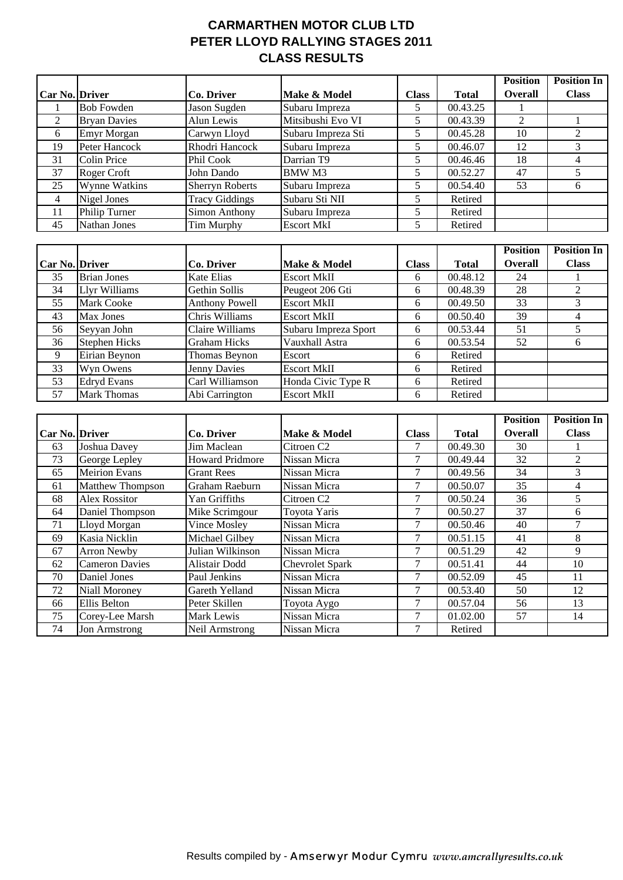## **CARMARTHEN MOTOR CLUB LTD PETER LLOYD RALLYING STAGES 2011 CLASS RESULTS**

|                |                      |                        |                    |              |              | <b>Position</b> | <b>Position In</b> |
|----------------|----------------------|------------------------|--------------------|--------------|--------------|-----------------|--------------------|
| Car No. Driver |                      | Co. Driver             | Make & Model       | <b>Class</b> | <b>Total</b> | <b>Overall</b>  | <b>Class</b>       |
|                | <b>Bob Fowden</b>    | Jason Sugden           | Subaru Impreza     | 5            | 00.43.25     |                 |                    |
| 2              | <b>Bryan Davies</b>  | Alun Lewis             | Mitsibushi Evo VI  | 5            | 00.43.39     | $\mathfrak{D}$  |                    |
| 6              | Emyr Morgan          | Carwyn Lloyd           | Subaru Impreza Sti | 5            | 00.45.28     | 10              |                    |
| 19             | Peter Hancock        | Rhodri Hancock         | Subaru Impreza     | 5            | 00.46.07     | 12              |                    |
| 31             | Colin Price          | Phil Cook              | Darrian T9         | 5.           | 00.46.46     | 18              |                    |
| 37             | Roger Croft          | John Dando             | BMW M3             | 5.           | 00.52.27     | 47              |                    |
| 25             | <b>Wynne Watkins</b> | <b>Sherryn Roberts</b> | Subaru Impreza     | 5            | 00.54.40     | 53              |                    |
| $\overline{4}$ | Nigel Jones          | <b>Tracy Giddings</b>  | Subaru Sti NII     | 5            | Retired      |                 |                    |
| 11             | Philip Turner        | Simon Anthony          | Subaru Impreza     | 5            | Retired      |                 |                    |
| 45             | Nathan Jones         | Tim Murphy             | <b>Escort MkI</b>  | 5            | Retired      |                 |                    |

|                       |                      |                       |                      |              |              | <b>Position</b> | <b>Position In</b> |
|-----------------------|----------------------|-----------------------|----------------------|--------------|--------------|-----------------|--------------------|
| <b>Car No. Driver</b> |                      | Co. Driver            | Make & Model         | <b>Class</b> | <b>Total</b> | <b>Overall</b>  | <b>Class</b>       |
| 35                    | <b>Brian Jones</b>   | Kate Elias            | <b>Escort MkII</b>   | 6            | 00.48.12     | 24              |                    |
| 34                    | Llyr Williams        | Gethin Sollis         | Peugeot 206 Gti      | 6            | 00.48.39     | 28              |                    |
| 55                    | <b>Mark Cooke</b>    | <b>Anthony Powell</b> | <b>Escort MkII</b>   | 6            | 00.49.50     | 33              |                    |
| 43                    | Max Jones            | Chris Williams        | <b>Escort MkII</b>   | 6            | 00.50.40     | 39              |                    |
| 56                    | Seyyan John          | Claire Williams       | Subaru Impreza Sport | 6            | 00.53.44     | 51              |                    |
| 36                    | <b>Stephen Hicks</b> | <b>Graham Hicks</b>   | Vauxhall Astra       | 6            | 00.53.54     | 52              | n                  |
| 9                     | Eirian Beynon        | Thomas Beynon         | Escort               | 6            | Retired      |                 |                    |
| 33                    | Wyn Owens            | <b>Jenny Davies</b>   | <b>Escort MkII</b>   | 6            | Retired      |                 |                    |
| 53                    | <b>Edryd Evans</b>   | Carl Williamson       | Honda Civic Type R   | 6            | Retired      |                 |                    |
| 57                    | <b>Mark Thomas</b>   | Abi Carrington        | <b>Escort MkII</b>   | 6            | Retired      |                 |                    |

|                       |                         |                        |                        |              |              | <b>Position</b> | <b>Position In</b> |
|-----------------------|-------------------------|------------------------|------------------------|--------------|--------------|-----------------|--------------------|
| <b>Car No. Driver</b> |                         | Co. Driver             | Make & Model           | <b>Class</b> | <b>Total</b> | <b>Overall</b>  | <b>Class</b>       |
| 63                    | Joshua Davey            | Jim Maclean            | Citroen C <sub>2</sub> |              | 00.49.30     | 30              |                    |
| 73                    | George Lepley           | <b>Howard Pridmore</b> | Nissan Micra           |              | 00.49.44     | 32              | 2                  |
| 65                    | Meirion Evans           | <b>Grant Rees</b>      | Nissan Micra           | 7            | 00.49.56     | 34              | 3                  |
| 61                    | <b>Matthew Thompson</b> | Graham Raeburn         | Nissan Micra           | 7            | 00.50.07     | 35              | 4                  |
| 68                    | Alex Rossitor           | Yan Griffiths          | Citroen C <sub>2</sub> | 7            | 00.50.24     | 36              | 5.                 |
| 64                    | Daniel Thompson         | Mike Scrimgour         | Toyota Yaris           | 7            | 00.50.27     | 37              | 6                  |
| 71                    | Lloyd Morgan            | Vince Mosley           | Nissan Micra           | 7            | 00.50.46     | 40              |                    |
| 69                    | Kasia Nicklin           | Michael Gilbey         | Nissan Micra           |              | 00.51.15     | 41              | 8                  |
| 67                    | <b>Arron Newby</b>      | Julian Wilkinson       | Nissan Micra           | 7            | 00.51.29     | 42              | 9                  |
| 62                    | <b>Cameron Davies</b>   | Alistair Dodd          | <b>Chevrolet Spark</b> | 7            | 00.51.41     | 44              | 10                 |
| 70                    | Daniel Jones            | Paul Jenkins           | Nissan Micra           | 7            | 00.52.09     | 45              | 11                 |
| 72                    | <b>Niall Moroney</b>    | Gareth Yelland         | Nissan Micra           |              | 00.53.40     | 50              | 12                 |
| 66                    | <b>Ellis Belton</b>     | Peter Skillen          | Toyota Aygo            |              | 00.57.04     | 56              | 13                 |
| 75                    | Corey-Lee Marsh         | Mark Lewis             | Nissan Micra           | 7            | 01.02.00     | 57              | 14                 |
| 74                    | Jon Armstrong           | Neil Armstrong         | Nissan Micra           |              | Retired      |                 |                    |